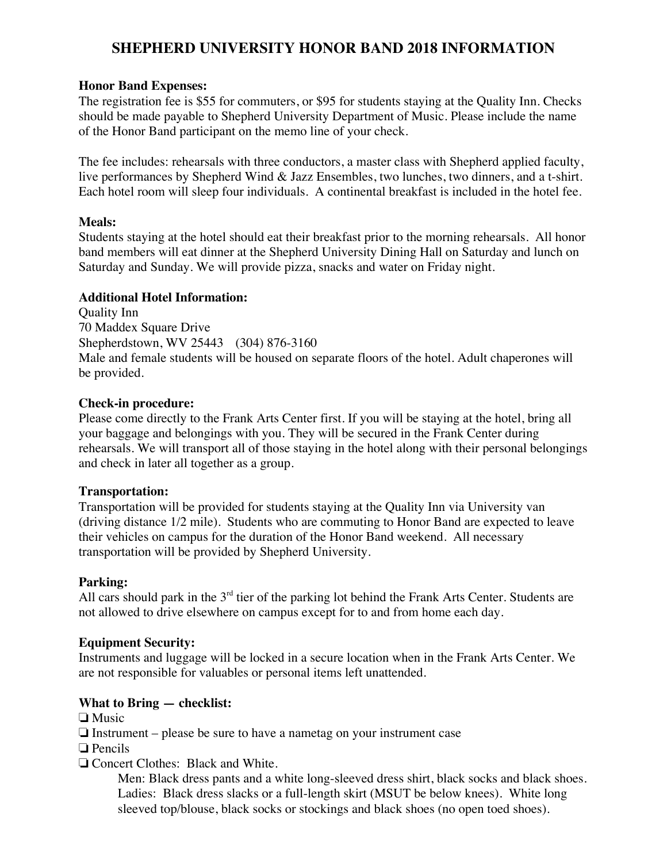# **SHEPHERD UNIVERSITY HONOR BAND 2018 INFORMATION**

## **Honor Band Expenses:**

The registration fee is \$55 for commuters, or \$95 for students staying at the Quality Inn. Checks should be made payable to Shepherd University Department of Music. Please include the name of the Honor Band participant on the memo line of your check.

The fee includes: rehearsals with three conductors, a master class with Shepherd applied faculty, live performances by Shepherd Wind & Jazz Ensembles, two lunches, two dinners, and a t-shirt. Each hotel room will sleep four individuals. A continental breakfast is included in the hotel fee.

## **Meals:**

Students staying at the hotel should eat their breakfast prior to the morning rehearsals. All honor band members will eat dinner at the Shepherd University Dining Hall on Saturday and lunch on Saturday and Sunday. We will provide pizza, snacks and water on Friday night.

## **Additional Hotel Information:**

Quality Inn 70 Maddex Square Drive Shepherdstown, WV 25443 (304) 876-3160 Male and female students will be housed on separate floors of the hotel. Adult chaperones will be provided.

## **Check-in procedure:**

Please come directly to the Frank Arts Center first. If you will be staying at the hotel, bring all your baggage and belongings with you. They will be secured in the Frank Center during rehearsals. We will transport all of those staying in the hotel along with their personal belongings and check in later all together as a group.

# **Transportation:**

Transportation will be provided for students staying at the Quality Inn via University van (driving distance 1/2 mile). Students who are commuting to Honor Band are expected to leave their vehicles on campus for the duration of the Honor Band weekend. All necessary transportation will be provided by Shepherd University.

# **Parking:**

All cars should park in the 3<sup>rd</sup> tier of the parking lot behind the Frank Arts Center. Students are not allowed to drive elsewhere on campus except for to and from home each day.

#### **Equipment Security:**

Instruments and luggage will be locked in a secure location when in the Frank Arts Center. We are not responsible for valuables or personal items left unattended.

# **What to Bring — checklist:**

- ❏ Music
- ❏ Instrument please be sure to have a nametag on your instrument case
- ❏ Pencils

# ❏ Concert Clothes: Black and White.

Men: Black dress pants and a white long-sleeved dress shirt, black socks and black shoes. Ladies: Black dress slacks or a full-length skirt (MSUT be below knees). White long sleeved top/blouse, black socks or stockings and black shoes (no open toed shoes).